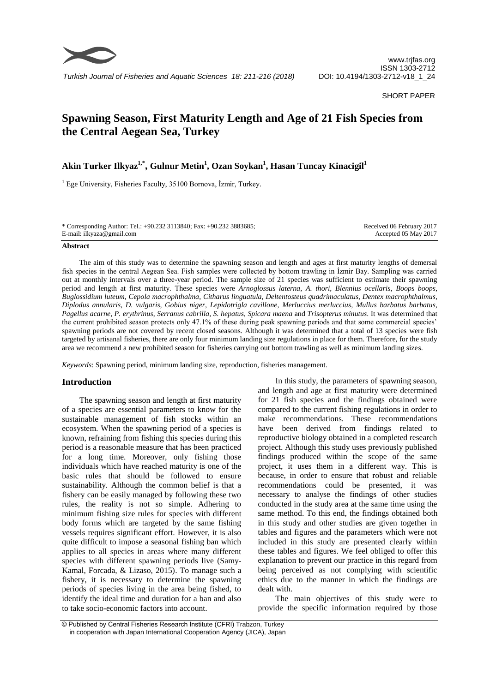

*Turkish Journal of Fisheries and Aquatic Sciences 18: 211-216 (2018)*

### SHORT PAPER

# **Spawning Season, First Maturity Length and Age of 21 Fish Species from the Central Aegean Sea, Turkey**

## **Akin Turker Ilkyaz1,\* , Gulnur Metin<sup>1</sup> , Ozan Soykan<sup>1</sup> , Hasan Tuncay Kinacigil<sup>1</sup>**

<sup>1</sup> Ege University, Fisheries Faculty, 35100 Bornova, İzmir, Turkey.

| * Corresponding Author: Tel.: +90.232 3113840; Fax: +90.232 3883685; | Received 06 February 2017 |
|----------------------------------------------------------------------|---------------------------|
| E-mail: ilkyaza@gmail.com                                            | Accepted 05 May 2017      |

#### **Abstract**

The aim of this study was to determine the spawning season and length and ages at first maturity lengths of demersal fish species in the central Aegean Sea. Fish samples were collected by bottom trawling in İzmir Bay. Sampling was carried out at monthly intervals over a three-year period. The sample size of 21 species was sufficient to estimate their spawning period and length at first maturity. These species were *Arnoglossus laterna*, *A. thori*, *Blennius ocellaris*, *Boops boops*, *Buglossidium luteum*, *Cepola macrophthalma*, *Citharus linguatula*, *Deltentosteus quadrimaculatus*, *Dentex macrophthalmus*, *Diplodus annularis*, *D. vulgaris*, *Gobius niger*, *Lepidotrigla cavillone*, *Merluccius merluccius*, *Mullus barbatus barbatus*, *Pagellus acarne*, *P. erythrinus*, *Serranus cabrilla*, *S. hepatus*, *Spicara maena* and *Trisopterus minutus*. It was determined that the current prohibited season protects only 47.1% of these during peak spawning periods and that some commercial species' spawning periods are not covered by recent closed seasons. Although it was determined that a total of 13 species were fish targeted by artisanal fisheries, there are only four minimum landing size regulations in place for them. Therefore, for the study area we recommend a new prohibited season for fisheries carrying out bottom trawling as well as minimum landing sizes.

*Keywords*: Spawning period, minimum landing size, reproduction, fisheries management.

## **Introduction**

The spawning season and length at first maturity of a species are essential parameters to know for the sustainable management of fish stocks within an ecosystem. When the spawning period of a species is known, refraining from fishing this species during this period is a reasonable measure that has been practiced for a long time. Moreover, only fishing those individuals which have reached maturity is one of the basic rules that should be followed to ensure sustainability. Although the common belief is that a fishery can be easily managed by following these two rules, the reality is not so simple. Adhering to minimum fishing size rules for species with different body forms which are targeted by the same fishing vessels requires significant effort. However, it is also quite difficult to impose a seasonal fishing ban which applies to all species in areas where many different species with different spawning periods live (Samy-Kamal, Forcada, & Lizaso, 2015). To manage such a fishery, it is necessary to determine the spawning periods of species living in the area being fished, to identify the ideal time and duration for a ban and also to take socio-economic factors into account.

In this study, the parameters of spawning season, and length and age at first maturity were determined for 21 fish species and the findings obtained were compared to the current fishing regulations in order to make recommendations. These recommendations have been derived from findings related to reproductive biology obtained in a completed research project. Although this study uses previously published findings produced within the scope of the same project, it uses them in a different way. This is because, in order to ensure that robust and reliable recommendations could be presented, it was necessary to analyse the findings of other studies conducted in the study area at the same time using the same method. To this end, the findings obtained both in this study and other studies are given together in tables and figures and the parameters which were not included in this study are presented clearly within these tables and figures. We feel obliged to offer this explanation to prevent our practice in this regard from being perceived as not complying with scientific ethics due to the manner in which the findings are dealt with.

The main objectives of this study were to provide the specific information required by those

<sup>©</sup> Published by Central Fisheries Research Institute (CFRI) Trabzon, Turkey in cooperation with Japan International Cooperation Agency (JICA), Japan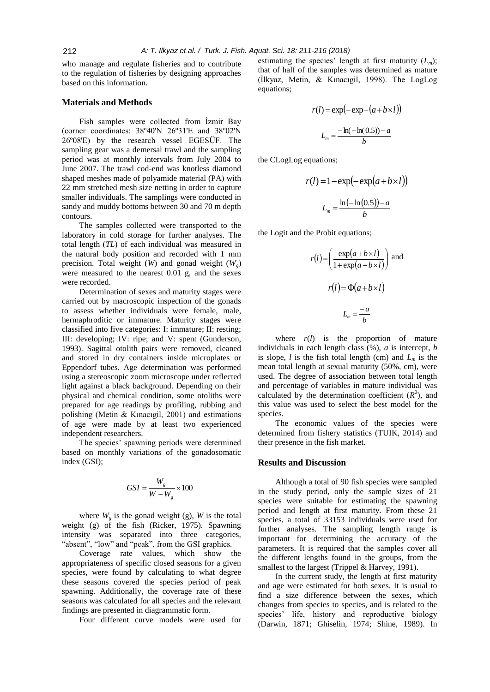who manage and regulate fisheries and to contribute to the regulation of fisheries by designing approaches based on this information.

## **Materials and Methods**

Fish samples were collected from İzmir Bay (corner coordinates: 38º40'N 26º31'E and 38º02'N 26º08'E) by the research vessel EGESÜF. The sampling gear was a demersal trawl and the sampling period was at monthly intervals from July 2004 to June 2007. The trawl cod-end was knotless diamond shaped meshes made of polyamide material (PA) with 22 mm stretched mesh size netting in order to capture smaller individuals. The samplings were conducted in sandy and muddy bottoms between 30 and 70 m depth contours.

The samples collected were transported to the laboratory in cold storage for further analyses. The total length (*TL*) of each individual was measured in the natural body position and recorded with 1 mm precision. Total weight (*W*) and gonad weight (*Wg*) were measured to the nearest 0.01 g, and the sexes were recorded.

Determination of sexes and maturity stages were carried out by macroscopic inspection of the gonads to assess whether individuals were female, male, hermaphroditic or immature. Maturity stages were classified into five categories: I: immature; II: resting; III: developing; IV: ripe; and V: spent (Gunderson, 1993). Sagittal otolith pairs were removed, cleaned and stored in dry containers inside microplates or Eppendorf tubes. Age determination was performed using a stereoscopic zoom microscope under reflected light against a black background. Depending on their physical and chemical condition, some otoliths were prepared for age readings by profiling, rubbing and polishing (Metin & Kınacıgil, 2001) and estimations of age were made by at least two experienced independent researchers.

The species' spawning periods were determined based on monthly variations of the gonadosomatic index (GSI);

$$
GSI = \frac{W_g}{W - W_g} \times 100
$$

where  $W_g$  is the gonad weight (g), *W* is the total weight (g) of the fish (Ricker, 1975). Spawning intensity was separated into three categories, "absent", "low" and "peak", from the GSI graphics.

Coverage rate values, which show the appropriateness of specific closed seasons for a given species, were found by calculating to what degree these seasons covered the species period of peak spawning. Additionally, the coverage rate of these seasons was calculated for all species and the relevant findings are presented in diagrammatic form.

Four different curve models were used for

estimating the species' length at first maturity  $(L_m)$ ; that of half of the samples was determined as mature (İlkyaz, Metin, & Kınacıgil, 1998). The LogLog equations;

$$
r(l) = \exp(-\exp-(a+b \times l))
$$

$$
L_m = \frac{-\ln(-\ln(0.5)) - a}{b}
$$

the CLogLog equations;

$$
r(l) = 1 - \exp(-\exp(a+b \times l))
$$

$$
L_m = \frac{\ln(-\ln(0.5)) - a}{b}
$$

the Logit and the Probit equations;

$$
r(l) = \left(\frac{\exp(a+b \times l)}{1+\exp(a+b \times l)}\right)
$$
 and  

$$
r(l) = \Phi(a+b \times l)
$$
  

$$
L_m = \frac{-a}{b}
$$

where  $r(l)$  is the proportion of mature individuals in each length class (%), *a* is intercept, *b* is slope, *l* is the fish total length (cm) and  $L_m$  is the mean total length at sexual maturity (50%, cm), were used. The degree of association between total length and percentage of variables in mature individual was calculated by the determination coefficient  $(R^2)$ , and this value was used to select the best model for the species.

The economic values of the species were determined from fishery statistics (TUIK, 2014) and their presence in the fish market.

#### **Results and Discussion**

Although a total of 90 fish species were sampled in the study period, only the sample sizes of 21 species were suitable for estimating the spawning period and length at first maturity. From these 21 species, a total of 33153 individuals were used for further analyses. The sampling length range is important for determining the accuracy of the parameters. It is required that the samples cover all the different lengths found in the groups, from the smallest to the largest (Trippel & Harvey, 1991).

In the current study, the length at first maturity and age were estimated for both sexes. It is usual to find a size difference between the sexes, which changes from species to species, and is related to the species' life, history and reproductive biology (Darwin, 1871; Ghiselin, 1974; Shine, 1989). In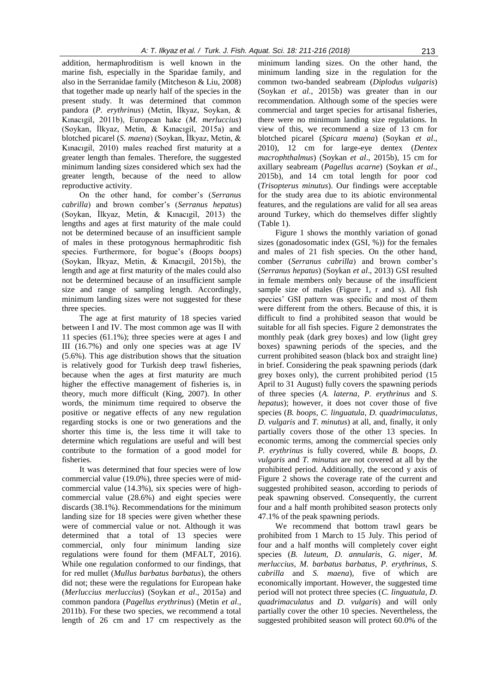addition, hermaphroditism is well known in the marine fish, especially in the Sparidae family, and also in the Serranidae family (Mitcheson & Liu, 2008) that together made up nearly half of the species in the present study. It was determined that common pandora (*P. erythrinus*) (Metin, İlkyaz, Soykan, & Kınacıgil, 2011b), European hake (*M. merluccius*) (Soykan, İlkyaz, Metin, & Kınacıgil, 2015a) and blotched picarel (*S. maena*) (Soykan, İlkyaz, Metin, & Kınacıgil, 2010) males reached first maturity at a greater length than females. Therefore, the suggested minimum landing sizes considered which sex had the greater length, because of the need to allow reproductive activity.

On the other hand, for comber's (*Serranus cabrilla*) and brown comber's (*Serranus hepatus*) (Soykan, İlkyaz, Metin, & Kınacıgil, 2013) the lengths and ages at first maturity of the male could not be determined because of an insufficient sample of males in these protogynous hermaphroditic fish species. Furthermore, for bogue's (*Boops boops*) (Soykan, İlkyaz, Metin, & Kınacıgil, 2015b), the length and age at first maturity of the males could also not be determined because of an insufficient sample size and range of sampling length. Accordingly, minimum landing sizes were not suggested for these three species.

The age at first maturity of 18 species varied between I and IV. The most common age was II with 11 species (61.1%); three species were at ages I and III (16.7%) and only one species was at age IV (5.6%). This age distribution shows that the situation is relatively good for Turkish deep trawl fisheries, because when the ages at first maturity are much higher the effective management of fisheries is, in theory, much more difficult (King, 2007). In other words, the minimum time required to observe the positive or negative effects of any new regulation regarding stocks is one or two generations and the shorter this time is, the less time it will take to determine which regulations are useful and will best contribute to the formation of a good model for fisheries.

It was determined that four species were of low commercial value (19.0%), three species were of midcommercial value (14.3%), six species were of highcommercial value (28.6%) and eight species were discards (38.1%). Recommendations for the minimum landing size for 18 species were given whether these were of commercial value or not. Although it was determined that a total of 13 species were commercial, only four minimum landing size regulations were found for them (MFALT, 2016). While one regulation conformed to our findings, that for red mullet (*Mullus barbatus barbatus*), the others did not; these were the regulations for European hake (*Merluccius merluccius*) (Soykan *et al*., 2015a) and common pandora (*Pagellus erythrinus*) (Metin *et al*., 2011b). For these two species, we recommend a total length of 26 cm and 17 cm respectively as the

minimum landing sizes. On the other hand, the minimum landing size in the regulation for the common two-banded seabream (*Diplodus vulgaris*) (Soykan *et al*., 2015b) was greater than in our recommendation. Although some of the species were commercial and target species for artisanal fisheries, there were no minimum landing size regulations. In view of this, we recommend a size of 13 cm for blotched picarel (*Spicara maena*) (Soykan *et al*., 2010), 12 cm for large-eye dentex (*Dentex macrophthalmus*) (Soykan *et al*., 2015b), 15 cm for axillary seabream (*Pagellus acarne*) (Soykan *et al*., 2015b), and 14 cm total length for poor cod (*Trisopterus minutus*). Our findings were acceptable for the study area due to its abiotic environmental features, and the regulations are valid for all sea areas around Turkey, which do themselves differ slightly (Table 1).

Figure 1 shows the monthly variation of gonad sizes (gonadosomatic index (GSI, %)) for the females and males of 21 fish species. On the other hand, comber (*Serranus cabrilla*) and brown comber's (*Serranus hepatus*) (Soykan *et al*., 2013) GSI resulted in female members only because of the insufficient sample size of males (Figure 1, r and s). All fish species' GSI pattern was specific and most of them were different from the others. Because of this, it is difficult to find a prohibited season that would be suitable for all fish species. Figure 2 demonstrates the monthly peak (dark grey boxes) and low (light grey boxes) spawning periods of the species, and the current prohibited season (black box and straight line) in brief. Considering the peak spawning periods (dark grey boxes only), the current prohibited period (15 April to 31 August) fully covers the spawning periods of three species (*A. laterna*, *P. erythrinus* and *S. hepatus*); however, it does not cover those of five species (*B. boops*, *C. linguatula*, *D. quadrimaculatus*, *D. vulgaris* and *T. minutus*) at all, and, finally, it only partially covers those of the other 13 species. In economic terms, among the commercial species only *P. erythrinus* is fully covered, while *B. boops*, *D. vulgaris* and *T. minutus* are not covered at all by the prohibited period. Additionally, the second y axis of Figure 2 shows the coverage rate of the current and suggested prohibited season, according to periods of peak spawning observed. Consequently, the current four and a half month prohibited season protects only 47.1% of the peak spawning periods.

We recommend that bottom trawl gears be prohibited from 1 March to 15 July. This period of four and a half months will completely cover eight species (*B. luteum*, *D. annularis*, *G. niger*, *M. merluccius*, *M. barbatus barbatus*, *P. erythrinus*, *S. cabrilla* and *S. maena*), five of which are economically important. However, the suggested time period will not protect three species (*C. linguatula*, *D. quadrimaculatus* and *D. vulgaris*) and will only partially cover the other 10 species. Nevertheless, the suggested prohibited season will protect 60.0% of the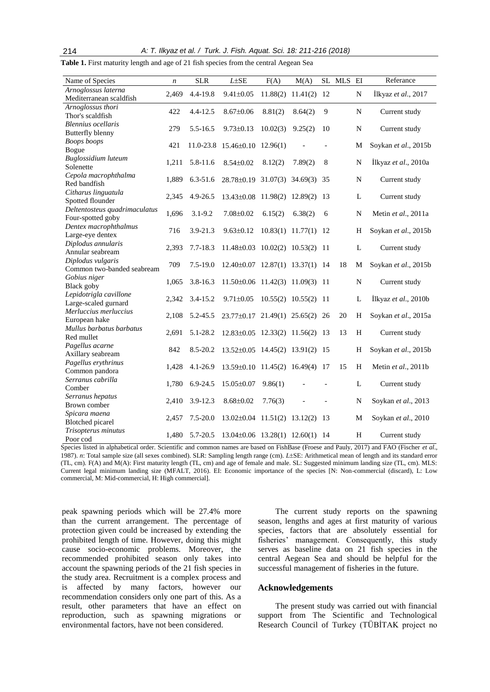214 *A: T. Ilkyaz et al. / Turk. J. Fish. Aquat. Sci. 18: 211-216 (2018)*

| Name of Species                         | $\boldsymbol{n}$ | <b>SLR</b>   | $L \pm SE$                                | F(A)                  | M(A)                     |     | SL MLS | E           | Referance            |
|-----------------------------------------|------------------|--------------|-------------------------------------------|-----------------------|--------------------------|-----|--------|-------------|----------------------|
| Arnoglossus laterna                     |                  |              |                                           |                       |                          |     |        |             |                      |
| Mediterranean scaldfish                 | 2,469            | 4.4-19.8     | $9.41 \pm 0.05$                           |                       | $11.88(2)$ $11.41(2)$    | -12 |        | $\mathbf N$ | İlkyaz et al., 2017  |
| Arnoglossus thori<br>Thor's scaldfish   | 422              | 4.4-12.5     | $8.67 \pm 0.06$                           | 8.81(2)               | 8.64(2)                  | 9   |        | N           | Current study        |
| Blennius ocellaris                      | 279              |              |                                           |                       |                          |     |        |             |                      |
| Butterfly blenny                        |                  | 5.5-16.5     | $9.73 \pm 0.13$                           | 10.02(3)              | 9.25(2)                  | 10  |        | N           | Current study        |
| <b>Boops</b> boops                      | 421              |              | 11.0-23.8 15.46±0.10                      | 12.96(1)              |                          |     |        | M           | Soykan et al., 2015b |
| Bogue<br>Buglossidium luteum            |                  |              |                                           |                       |                          |     |        |             |                      |
| Solenette                               | 1,211            | 5.8-11.6     | $8.54 \pm 0.02$                           | 8.12(2)               | 7.89(2)                  | 8   |        | N           | İlkyaz et al., 2010a |
| Cepola macrophthalma                    | 1,889            | $6.3 - 51.6$ | 28.78±0.19                                |                       | 31.07(3) 34.69(3) 35     |     |        | $\mathbf N$ | Current study        |
| Red bandfish                            |                  |              |                                           |                       |                          |     |        |             |                      |
| Citharus linguatula<br>Spotted flounder | 2,345            | 4.9-26.5     | 13.43±0.08                                | 11.98(2)              | 12.89(2)                 | 13  |        | L           | Current study        |
| Deltentosteus quadrimaculatus           |                  |              |                                           |                       |                          |     |        |             |                      |
| Four-spotted goby                       | 1,696            | $3.1 - 9.2$  | $7.08 \pm 0.02$                           | 6.15(2)               | 6.38(2)                  | 6   |        | $\mathbf N$ | Metin et al., 2011a  |
| Dentex macrophthalmus                   | 716              | 3.9-21.3     | $9.63 \pm 0.12$                           |                       | $10.83(1)$ $11.77(1)$ 12 |     |        | Η           | Soykan et al., 2015b |
| Large-eye dentex                        |                  |              |                                           |                       |                          |     |        |             |                      |
| Diplodus annularis<br>Annular seabream  | 2,393            | $7.7 - 18.3$ | $11.48 \pm 0.03$ $10.02(2)$ $10.53(2)$ 11 |                       |                          |     |        | L           | Current study        |
| Diplodus vulgaris                       |                  |              |                                           |                       |                          |     |        |             |                      |
| Common two-banded seabream              | 709              | $7.5 - 19.0$ | 12.40±0.07 12.87(1) 13.37(1) 14           |                       |                          |     | 18     | М           | Soykan et al., 2015b |
| Gobius niger                            | 1,065            | 3.8-16.3     | $11.50\pm0.06$ $11.42(3)$ $11.09(3)$ 11   |                       |                          |     |        | N           | Current study        |
| Black goby                              |                  |              |                                           |                       |                          |     |        |             |                      |
| Lepidotrigla cavillone                  | 2,342            | $3.4 - 15.2$ | $9.71 \pm 0.05$                           |                       | $10.55(2)$ $10.55(2)$ 11 |     |        | L           | İlkyaz et al., 2010b |
| Large-scaled gurnard                    |                  |              |                                           |                       |                          |     |        |             |                      |
| Merluccius merluccius<br>European hake  | 2,108            | 5.2-45.5     | 23.77±0.17 21.49(1) 25.65(2) 26           |                       |                          |     | 20     | H           | Soykan et al., 2015a |
| Mullus barbatus barbatus                |                  |              |                                           |                       |                          |     |        |             |                      |
| Red mullet                              | 2,691            | 5.1-28.2     | $12.83 \pm 0.05$ $12.33(2)$ $11.56(2)$    |                       |                          | -13 | 13     | H           | Current study        |
| Pagellus acarne                         | 842              | $8.5 - 20.2$ | 13.52±0.05 14.45(2) 13.91(2) 15           |                       |                          |     |        | Η           | Soykan et al., 2015b |
| Axillary seabream                       |                  |              |                                           |                       |                          |     |        |             |                      |
| Pagellus erythrinus                     | 1,428            | 4.1-26.9     | $13.59\pm0.10$ $11.45(2)$ $16.49(4)$      |                       |                          | -17 | 15     | H           | Metin et al., 2011b  |
| Common pandora<br>Serranus cabrilla     |                  |              |                                           |                       |                          |     |        |             |                      |
| Comber                                  | 1,780            | $6.9 - 24.5$ | $15.05 \pm 0.07$                          | 9.86(1)               |                          |     |        | L           | Current study        |
| Serranus hepatus                        |                  |              |                                           |                       |                          |     |        |             |                      |
| Brown comber                            | 2,410            | 3.9-12.3     | $8.68 \pm 0.02$                           | 7.76(3)               |                          |     |        | ${\bf N}$   | Soykan et al., 2013  |
| Spicara maena                           | 2,457            | $7.5 - 20.0$ | $13.02 \pm 0.04$                          | $11.51(2)$ $13.12(2)$ |                          | -13 |        | M           | Soykan et al., 2010  |
| <b>Blotched</b> picarel                 |                  |              |                                           |                       |                          |     |        |             |                      |
| Trisopterus minutus                     | 1,480            | $5.7 - 20.5$ | 13.04±0.06 13.28(1) 12.60(1) 14           |                       |                          |     |        | H           | Current study        |
| Poor cod                                |                  |              |                                           |                       |                          |     |        |             |                      |

**Table 1.** First maturity length and age of 21 fish species from the central Aegean Sea

Species listed in alphabetical order. Scientific and common names are based on FishBase (Froese and Pauly, 2017) and FAO (Fischer *et al*., 1987). *n*: Total sample size (all sexes combined). SLR: Sampling length range (cm). *L*SE: Arithmetical mean of length and its standard error (TL, cm). F(A) and M(A): First maturity length (TL, cm) and age of female and male. SL: Suggested minimum landing size (TL, cm). MLS: Current legal minimum landing size (MFALT, 2016). EI: Economic importance of the species [N: Non-commercial (discard), L: Low commercial, M: Mid-commercial, H: High commercial].

peak spawning periods which will be 27.4% more than the current arrangement. The percentage of protection given could be increased by extending the prohibited length of time. However, doing this might cause socio-economic problems. Moreover, the recommended prohibited season only takes into account the spawning periods of the 21 fish species in the study area. Recruitment is a complex process and is affected by many factors, however our recommendation considers only one part of this. As a result, other parameters that have an effect on reproduction, such as spawning migrations or environmental factors, have not been considered.

The current study reports on the spawning season, lengths and ages at first maturity of various species, factors that are absolutely essential for fisheries' management. Consequently, this study serves as baseline data on 21 fish species in the central Aegean Sea and should be helpful for the successful management of fisheries in the future.

## **Acknowledgements**

The present study was carried out with financial support from The Scientific and Technological Research Council of Turkey (TÜBİTAK project no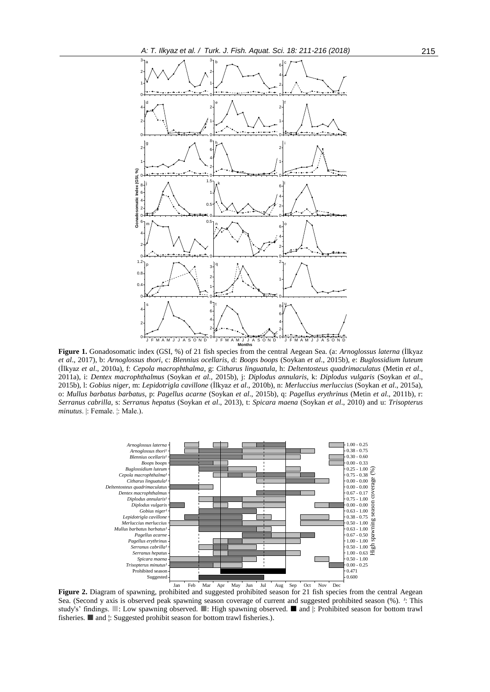

**Figure 1.** Gonadosomatic index (GSI, %) of 21 fish species from the central Aegean Sea. (a: *Arnoglossus laterna* (İlkyaz *et al*., 2017), b: *Arnoglossus thori*, c: *Blennius ocellaris*, d: *Boops boops* (Soykan *et al*., 2015b), e: *Buglossidium luteum* (İlkyaz *et al*., 2010a), f: *Cepola macrophthalma*, g: *Citharus linguatula*, h: *Deltentosteus quadrimaculatus* (Metin *et al*., 2011a), i: *Dentex macrophthalmus* (Soykan *et al*., 2015b), j: *Diplodus annularis*, k: *Diplodus vulgaris* (Soykan *et al*., 2015b), l: *Gobius niger*, m: *Lepidotrigla cavillone* (İlkyaz *et al*., 2010b), n: *Merluccius merluccius* (Soykan *et al*., 2015a), o: *Mullus barbatus barbatus*, p: *Pagellus acarne* (Soykan *et al*., 2015b), q: *Pagellus erythrinus* (Metin *et al*., 2011b), r: *Serranus cabrilla*, s: *Serranus hepatus* (Soykan *et al*., 2013), t: *Spicara maena* (Soykan *et al*., 2010) and u: *Trisopterus minutus*. |: Female. ¦: Male.).



Figure 2. Diagram of spawning, prohibited and suggested prohibited season for 21 fish species from the central Aegean Sea. (Second y axis is observed peak spawning season coverage of current and suggested prohibited season (%). <sup>1</sup>: This study's' findings. : Low spawning observed. : High spawning observed.  $\blacksquare$  and  $\vert$ : Prohibited season for bottom trawl fisheries.  $\blacksquare$  and  $\vdots$  Suggested prohibit season for bottom trawl fisheries.).